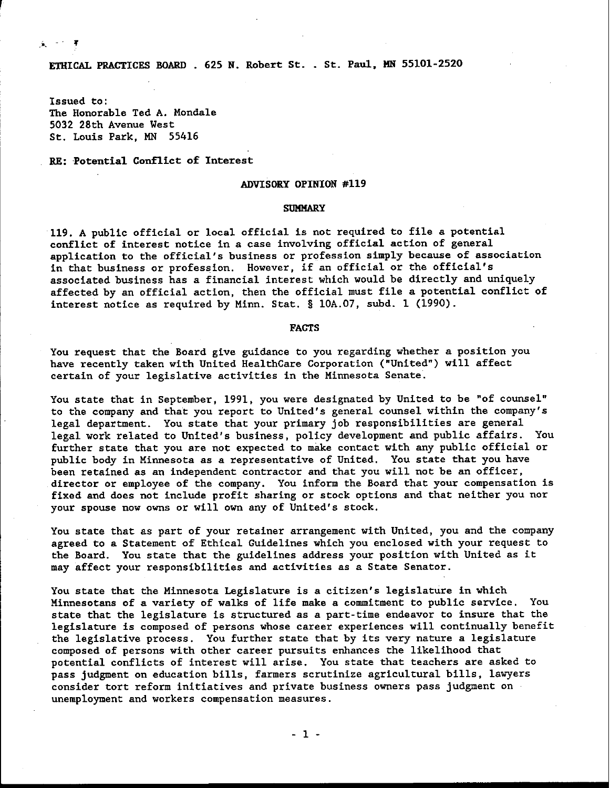\_..- **<sup>T</sup>**

ETHICAL PRACTICES BOARD . 625 N. Robert St. . St. Paul, **l4N** 55101-2520

Issued to: The Honorable Ted A. Mondale 5032 28th Avenue West St. Louis Park, **MN** 55416

RE: Potential Conflict of Interest

### ADVISORY OPINION #I19

## **SUMMARY**

119. A public official or local official is not required to file a potential conflict of interest notice in a case involving official action of general application to the official's business or profession simply because of association in that business or profession. However, if an official or the official's associated business has a financial interest which would be directly and uniquely affected by an official action, then the official must file a potential conflict of interest notice as required by Minn. Stat. **5** 10A.07, subd. 1 (1990).

## FACTS

You request that the Board give guidance to you regarding whether a position you have recently taken with United Healthcare Corporation ("United") will affect certain of your legislative activities in the Minnesota Senate.

You state that in September, 1991, you were designated by United to be "of counsel" to the company and that you report to United's general counsel within the company's legal department. You state that your primary job responsibilities are general legal work related to United's business, policy development and public affairs. You further state that you are not expected to make contact with any public official or public body in Minnesota as a representative of United. You state that you have been retained as an independent contractor and that you will not be an officer, director or employee of the company. You inform the Board that your compensation is fixed and does not include profit sharing or stock options and that neither you nor your spouse now owns or will own any of United's stock.

You state that as part of your retainer arrangement with United, you and the company agreed to a Statement of Ethical Guidelines which you enclosed with your request to the Board. You state that the guidelines address your position with United as it may affect your responsibilities and activities as a State Senator.

You state that the Minnesota Legislature is a citizen's legislature in which Minnesotans of a variety of walks of life make a commitment to public service. You state that the legislature is structured as a part-time endeavor to insure that the legislature is composed of persons whose career experiences will continually benefit the legislative process. You further state that by its very nature a legislature composed of persons with other career pursuits enhances the likelihood that potential conflicts of interest will arise. You state that teachers are asked to pass judgment on education bills, farmers scrutinize agricultural bills, lawyers consider tort reform initiatives and private business owners pass judgment on unemployment and workers compensation measures.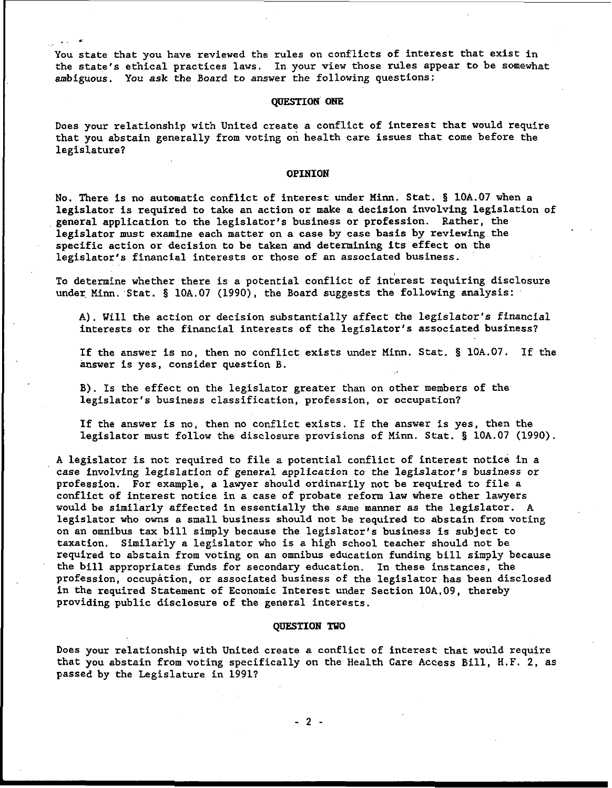You state that you have reviewed the rules on conflicts of interest that exist in the state's ethical practices laws. In your view those rules appear to be somewhat ambiguous. You ask the Board to answer the following questions:

# **IN A REPORT ONE OF PROPERTION ONE**

Does your relationship with United create a conflict of interest that would require that you abstain generally from voting on health care issues that come before the legislature?

## **I** OPINION

No. There is no automatic conflict of interest under Minn. Stat. § 10A.07 when a legislator is required to take an action or make a decision involving legislation of general application to the legislator's business or profession. Rather, the legislator must examine each matter on a case by case basis by reviewing the specific action or decision to be taken and determining its effect on the legislator's financial interests or those of an associated business.

To determine whether there is a potential conflict of interest requiring disclosure under. Minn. Stat. **5** 10A.07 (1990), the Board suggests the following analysis:

**A).** Will the action or decision substantially affect the legislator's financial interests or the financial interests of the legislator's associated business?

If the answer is no, then no conflict exists under Minn. Stat. § 10A.07. If the answer is yes, consider question B.

B). Is the effect on the legislator greater than on other members of the legislator's business classification, profession, or occupation?

If the answer is no, then no conflict exists. If the answer is yes, then the legislator must follow the disclosure provisions of Minn. Stat. **5** 10A.07 (1990)

A legislator is not required to file a potential conflict of interest notice in a case involving legislation of general application to the legislator's business or profession. For example, a lawyer should ordinarily not be required to file a conflict of interest notice in a case of probate reform law where other lawyers would be similarly affected in essentially the same manner as the legislator. A legislator who owns a small business should not be required to abstain from voting on an omnibus tax bill simply because the legislator's business is subject to taxation. Similarly a legislator who is a high school teacher should not be required to abstain from voting on an omnibus education funding bill simply because the bill appropriates funds for secondary education. In these instances, the profession, occupation, or associated business of the legislator has been disclosed in the required Statement of Economic Interest under Section 10A.09, thereby providing public disclosure of the general interests.

QUESTION TWO<br>Does your relationship with United create a conflict of interest that would require that you abstain from voting specifically on the Health Care Access Bill, H.F. 2, as passed by the Legislature in 19911

 $-2-$